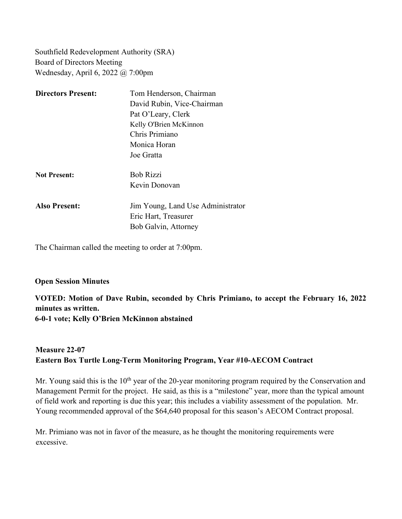Southfield Redevelopment Authority (SRA) Board of Directors Meeting Wednesday, April 6, 2022 @ 7:00pm

| <b>Directors Present:</b> | Tom Henderson, Chairman           |
|---------------------------|-----------------------------------|
|                           | David Rubin, Vice-Chairman        |
|                           | Pat O'Leary, Clerk                |
|                           | Kelly O'Brien McKinnon            |
|                           | Chris Primiano                    |
|                           | Monica Horan                      |
|                           | Joe Gratta                        |
| <b>Not Present:</b>       | <b>Bob Rizzi</b>                  |
|                           | Kevin Donovan                     |
| <b>Also Present:</b>      | Jim Young, Land Use Administrator |
|                           | Eric Hart, Treasurer              |
|                           | Bob Galvin, Attorney              |

The Chairman called the meeting to order at 7:00pm.

## **Open Session Minutes**

**VOTED: Motion of Dave Rubin, seconded by Chris Primiano, to accept the February 16, 2022 minutes as written.**

**6-0-1 vote; Kelly O'Brien McKinnon abstained**

## **Measure 22-07 Eastern Box Turtle Long-Term Monitoring Program, Year #10-AECOM Contract**

Mr. Young said this is the  $10<sup>th</sup>$  year of the 20-year monitoring program required by the Conservation and Management Permit for the project. He said, as this is a "milestone" year, more than the typical amount of field work and reporting is due this year; this includes a viability assessment of the population. Mr. Young recommended approval of the \$64,640 proposal for this season's AECOM Contract proposal.

Mr. Primiano was not in favor of the measure, as he thought the monitoring requirements were excessive.